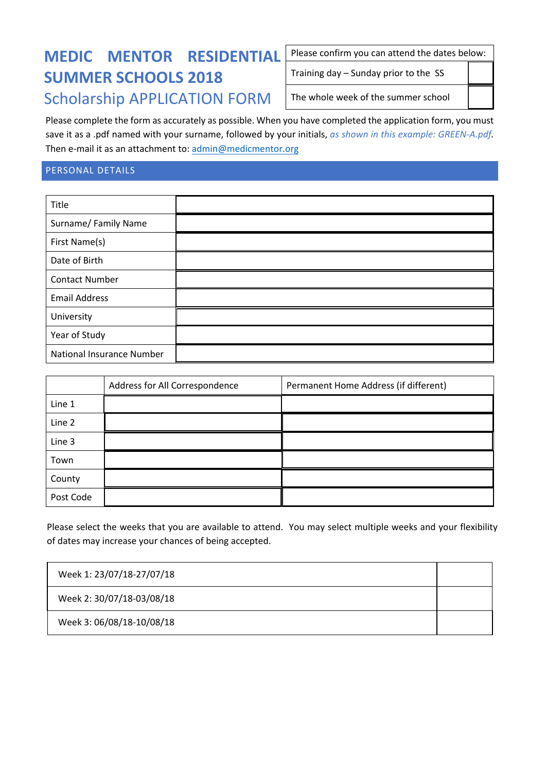## **MEDIC MENTOR RESIDENTIAL SUMMER SCHOOLS 2018** Scholarship APPLICATION FORM

Please confirm you can attend the dates below:

Training day – Sunday prior to the SS

The whole week of the summer school

Please complete the form as accurately as possible. When you have completed the application form, you must save it as a .pdf named with your surname, followed by your initials, *as shown in this example: GREEN-A.pdf.*  Then e-mail it as an attachment to: admin[@medicmentor.or](mailto:exec@medicmentor.org)g

## PERSONAL DETAILS

| Title                     |  |
|---------------------------|--|
| Surname/Family Name       |  |
| First Name(s)             |  |
| Date of Birth             |  |
| <b>Contact Number</b>     |  |
| <b>Email Address</b>      |  |
| University                |  |
| Year of Study             |  |
| National Insurance Number |  |

|           | Address for All Correspondence | Permanent Home Address (if different) |
|-----------|--------------------------------|---------------------------------------|
| Line 1    |                                |                                       |
| Line 2    |                                |                                       |
| Line 3    |                                |                                       |
| Town      |                                |                                       |
| County    |                                |                                       |
| Post Code |                                |                                       |

Please select the weeks that you are available to attend. You may select multiple weeks and your flexibility of dates may increase your chances of being accepted.

| Week 1: 23/07/18-27/07/18 |  |
|---------------------------|--|
| Week 2: 30/07/18-03/08/18 |  |
| Week 3: 06/08/18-10/08/18 |  |